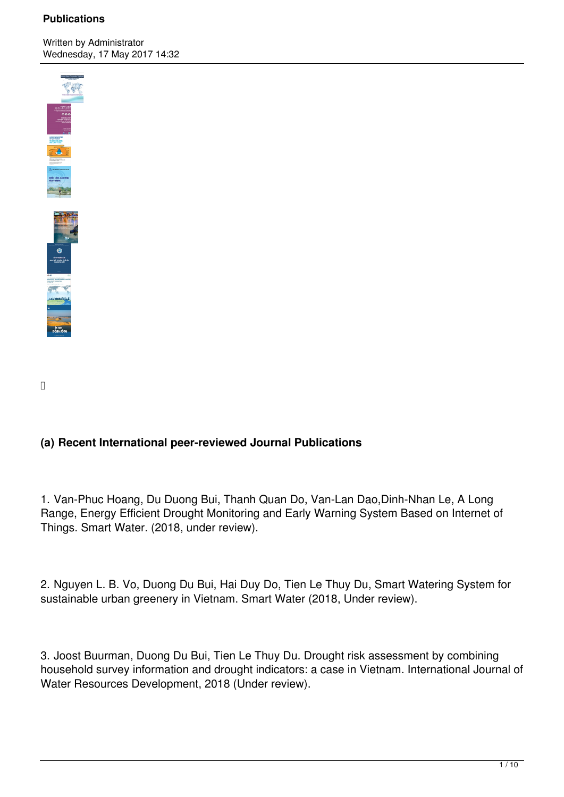Written by Administrator Wednesday, 17 May 2017 14:32



# **(a) Recent International peer-reviewed Journal Publications**

1. Van-Phuc Hoang, Du Duong Bui, Thanh Quan Do, Van-Lan Dao,Dinh-Nhan Le, A Long Range, Energy Efficient Drought Monitoring and Early Warning System Based on Internet of Things. Smart Water. (2018, under review).

2. Nguyen L. B. Vo, Duong Du Bui, Hai Duy Do, Tien Le Thuy Du, Smart Watering System for sustainable urban greenery in Vietnam. Smart Water (2018, Under review).

3. Joost Buurman, Duong Du Bui, Tien Le Thuy Du. Drought risk assessment by combining household survey information and drought indicators: a case in Vietnam. International Journal of Water Resources Development, 2018 (Under review).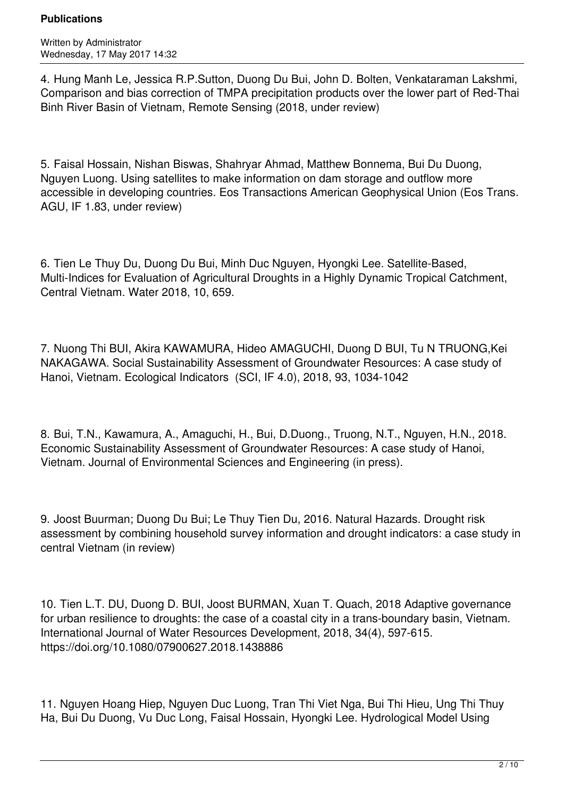Written by Administrator Wednesday, 17 May 2017 14:32

4. Hung Manh Le, Jessica R.P.Sutton, Duong Du Bui, John D. Bolten, Venkataraman Lakshmi, Comparison and bias correction of TMPA precipitation products over the lower part of Red-Thai Binh River Basin of Vietnam, Remote Sensing (2018, under review)

5. Faisal Hossain, Nishan Biswas, Shahryar Ahmad, Matthew Bonnema, Bui Du Duong, Nguyen Luong. Using satellites to make information on dam storage and outflow more accessible in developing countries. Eos Transactions American Geophysical Union (Eos Trans. AGU, IF 1.83, under review)

6. Tien Le Thuy Du, Duong Du Bui, Minh Duc Nguyen, Hyongki Lee. Satellite-Based, Multi-Indices for Evaluation of Agricultural Droughts in a Highly Dynamic Tropical Catchment, Central Vietnam. Water 2018, 10, 659.

7. Nuong Thi BUI, Akira KAWAMURA, Hideo AMAGUCHI, Duong D BUI, Tu N TRUONG,Kei NAKAGAWA. Social Sustainability Assessment of Groundwater Resources: A case study of Hanoi, Vietnam. Ecological Indicators (SCI, IF 4.0), 2018, 93, 1034-1042

8. Bui, T.N., Kawamura, A., Amaguchi, H., Bui, D.Duong., Truong, N.T., Nguyen, H.N., 2018. Economic Sustainability Assessment of Groundwater Resources: A case study of Hanoi, Vietnam. Journal of Environmental Sciences and Engineering (in press).

9. Joost Buurman; Duong Du Bui; Le Thuy Tien Du, 2016. Natural Hazards. Drought risk assessment by combining household survey information and drought indicators: a case study in central Vietnam (in review)

10. Tien L.T. DU, Duong D. BUI, Joost BURMAN, Xuan T. Quach, 2018 Adaptive governance for urban resilience to droughts: the case of a coastal city in a trans-boundary basin, Vietnam. International Journal of Water Resources Development, 2018, 34(4), 597-615. https://doi.org/10.1080/07900627.2018.1438886

11. Nguyen Hoang Hiep, Nguyen Duc Luong, Tran Thi Viet Nga, Bui Thi Hieu, Ung Thi Thuy Ha, Bui Du Duong, Vu Duc Long, Faisal Hossain, Hyongki Lee. Hydrological Model Using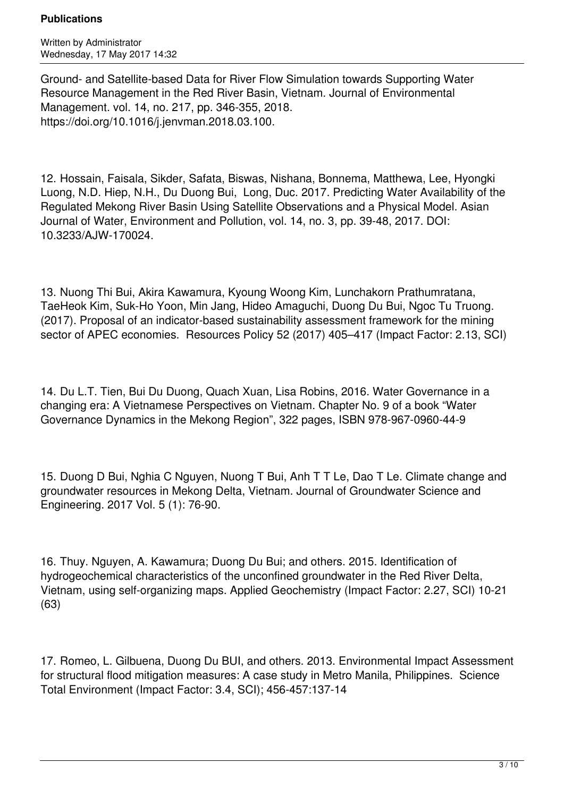Written by Administrator Wednesday, 17 May 2017 14:32

Ground- and Satellite-based Data for River Flow Simulation towards Supporting Water Resource Management in the Red River Basin, Vietnam. Journal of Environmental Management. vol. 14, no. 217, pp. 346-355, 2018. https://doi.org/10.1016/j.jenvman.2018.03.100.

12. Hossain, Faisala, Sikder, Safata, Biswas, Nishana, Bonnema, Matthewa, Lee, Hyongki Luong, N.D. Hiep, N.H., Du Duong Bui, Long, Duc. 2017. Predicting Water Availability of the Regulated Mekong River Basin Using Satellite Observations and a Physical Model. Asian Journal of Water, Environment and Pollution, vol. 14, no. 3, pp. 39-48, 2017. DOI: 10.3233/AJW-170024.

13. Nuong Thi Bui, Akira Kawamura, Kyoung Woong Kim, Lunchakorn Prathumratana, TaeHeok Kim, Suk-Ho Yoon, Min Jang, Hideo Amaguchi, Duong Du Bui, Ngoc Tu Truong. (2017). Proposal of an indicator-based sustainability assessment framework for the mining sector of APEC economies. Resources Policy 52 (2017) 405–417 (Impact Factor: 2.13, SCI)

14. Du L.T. Tien, Bui Du Duong, Quach Xuan, Lisa Robins, 2016. Water Governance in a changing era: A Vietnamese Perspectives on Vietnam. Chapter No. 9 of a book "Water Governance Dynamics in the Mekong Region", 322 pages, ISBN 978-967-0960-44-9

15. Duong D Bui, Nghia C Nguyen, Nuong T Bui, Anh T T Le, Dao T Le. Climate change and groundwater resources in Mekong Delta, Vietnam. Journal of Groundwater Science and Engineering. 2017 Vol. 5 (1): 76-90.

16. Thuy. Nguyen, A. Kawamura; Duong Du Bui; and others. 2015. Identification of hydrogeochemical characteristics of the unconfined groundwater in the Red River Delta, Vietnam, using self-organizing maps. Applied Geochemistry (Impact Factor: 2.27, SCI) 10-21 (63)

17. Romeo, L. Gilbuena, Duong Du BUI, and others. 2013. Environmental Impact Assessment for structural flood mitigation measures: A case study in Metro Manila, Philippines. Science Total Environment (Impact Factor: 3.4, SCI); 456-457:137-14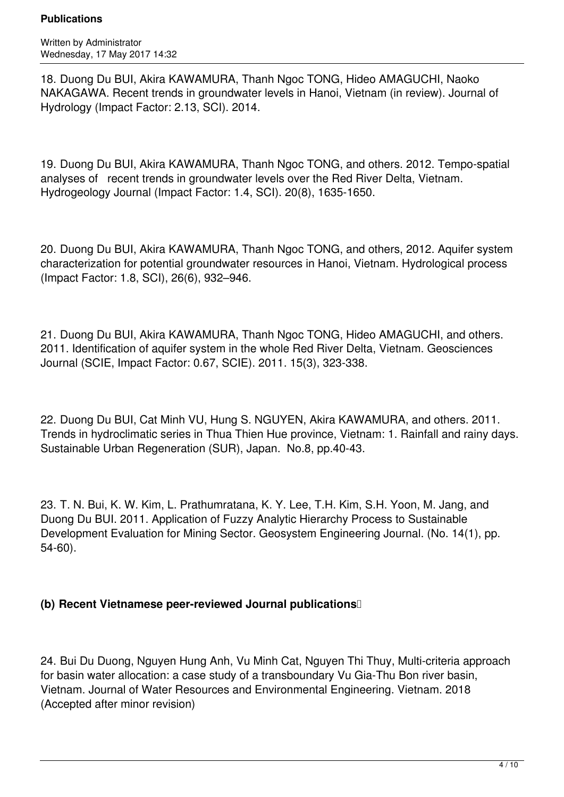Written by Administrator Wednesday, 17 May 2017 14:32

18. Duong Du BUI, Akira KAWAMURA, Thanh Ngoc TONG, Hideo AMAGUCHI, Naoko NAKAGAWA. Recent trends in groundwater levels in Hanoi, Vietnam (in review). Journal of Hydrology (Impact Factor: 2.13, SCI). 2014.

19. Duong Du BUI, Akira KAWAMURA, Thanh Ngoc TONG, and others. 2012. Tempo-spatial analyses of recent trends in groundwater levels over the Red River Delta, Vietnam. Hydrogeology Journal (Impact Factor: 1.4, SCI). 20(8), 1635-1650.

20. Duong Du BUI, Akira KAWAMURA, Thanh Ngoc TONG, and others, 2012. Aquifer system characterization for potential groundwater resources in Hanoi, Vietnam. Hydrological process (Impact Factor: 1.8, SCI), 26(6), 932–946.

21. Duong Du BUI, Akira KAWAMURA, Thanh Ngoc TONG, Hideo AMAGUCHI, and others. 2011. Identification of aquifer system in the whole Red River Delta, Vietnam. Geosciences Journal (SCIE, Impact Factor: 0.67, SCIE). 2011. 15(3), 323-338.

22. Duong Du BUI, Cat Minh VU, Hung S. NGUYEN, Akira KAWAMURA, and others. 2011. Trends in hydroclimatic series in Thua Thien Hue province, Vietnam: 1. Rainfall and rainy days. Sustainable Urban Regeneration (SUR), Japan. No.8, pp.40-43.

23. T. N. Bui, K. W. Kim, L. Prathumratana, K. Y. Lee, T.H. Kim, S.H. Yoon, M. Jang, and Duong Du BUI. 2011. Application of Fuzzy Analytic Hierarchy Process to Sustainable Development Evaluation for Mining Sector. Geosystem Engineering Journal. (No. 14(1), pp. 54-60).

## **(b) Recent Vietnamese peer-reviewed Journal publications**

24. Bui Du Duong, Nguyen Hung Anh, Vu Minh Cat, Nguyen Thi Thuy, Multi-criteria approach for basin water allocation: a case study of a transboundary Vu Gia-Thu Bon river basin, Vietnam. Journal of Water Resources and Environmental Engineering. Vietnam. 2018 (Accepted after minor revision)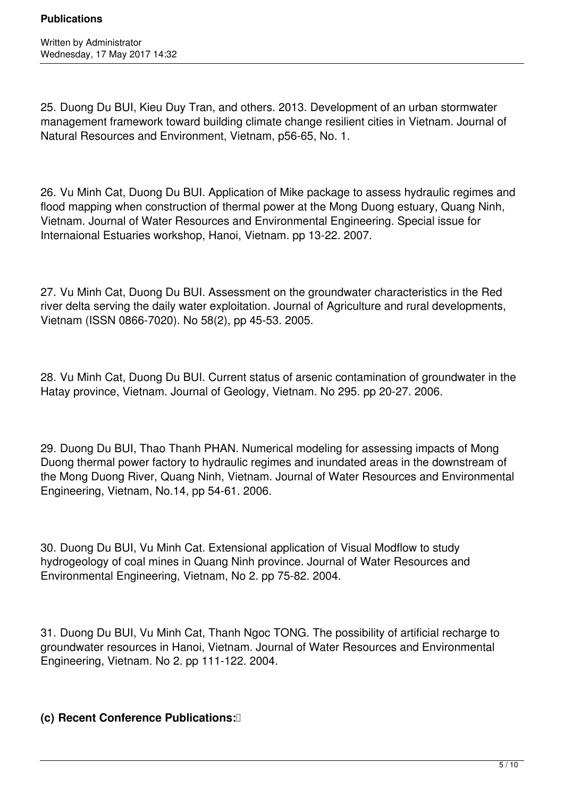25. Duong Du BUI, Kieu Duy Tran, and others. 2013. Development of an urban stormwater management framework toward building climate change resilient cities in Vietnam. Journal of Natural Resources and Environment, Vietnam, p56-65, No. 1.

26. Vu Minh Cat, Duong Du BUI. Application of Mike package to assess hydraulic regimes and flood mapping when construction of thermal power at the Mong Duong estuary, Quang Ninh, Vietnam. Journal of Water Resources and Environmental Engineering. Special issue for Internaional Estuaries workshop, Hanoi, Vietnam. pp 13-22. 2007.

27. Vu Minh Cat, Duong Du BUI. Assessment on the groundwater characteristics in the Red river delta serving the daily water exploitation. Journal of Agriculture and rural developments, Vietnam (ISSN 0866-7020). No 58(2), pp 45-53. 2005.

28. Vu Minh Cat, Duong Du BUI. Current status of arsenic contamination of groundwater in the Hatay province, Vietnam. Journal of Geology, Vietnam. No 295. pp 20-27. 2006.

29. Duong Du BUI, Thao Thanh PHAN. Numerical modeling for assessing impacts of Mong Duong thermal power factory to hydraulic regimes and inundated areas in the downstream of the Mong Duong River, Quang Ninh, Vietnam. Journal of Water Resources and Environmental Engineering, Vietnam, No.14, pp 54-61. 2006.

30. Duong Du BUI, Vu Minh Cat. Extensional application of Visual Modflow to study hydrogeology of coal mines in Quang Ninh province. Journal of Water Resources and Environmental Engineering, Vietnam, No 2. pp 75-82. 2004.

31. Duong Du BUI, Vu Minh Cat, Thanh Ngoc TONG. The possibility of artificial recharge to groundwater resources in Hanoi, Vietnam. Journal of Water Resources and Environmental Engineering, Vietnam. No 2. pp 111-122. 2004.

# **(c) Recent Conference Publications:**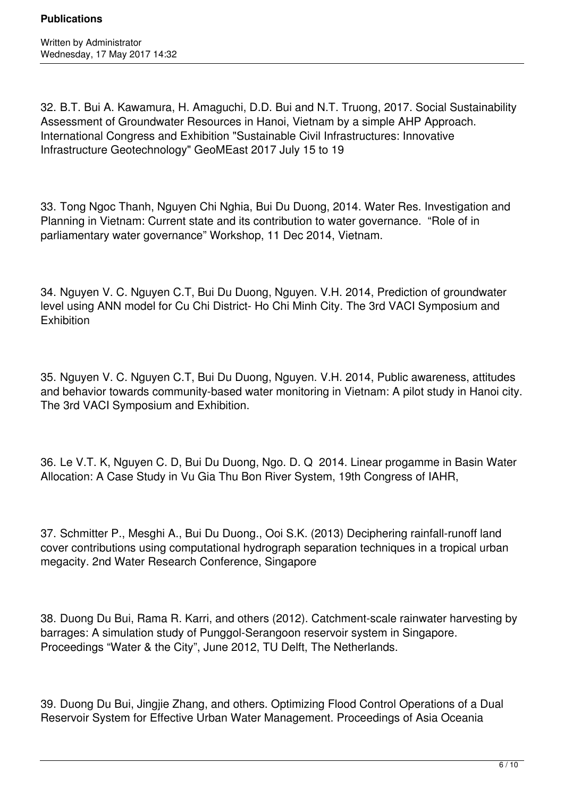32. B.T. Bui A. Kawamura, H. Amaguchi, D.D. Bui and N.T. Truong, 2017. Social Sustainability Assessment of Groundwater Resources in Hanoi, Vietnam by a simple AHP Approach. International Congress and Exhibition "Sustainable Civil Infrastructures: Innovative Infrastructure Geotechnology" GeoMEast 2017 July 15 to 19

33. Tong Ngoc Thanh, Nguyen Chi Nghia, Bui Du Duong, 2014. Water Res. Investigation and Planning in Vietnam: Current state and its contribution to water governance. "Role of in parliamentary water governance" Workshop, 11 Dec 2014, Vietnam.

34. Nguyen V. C. Nguyen C.T, Bui Du Duong, Nguyen. V.H. 2014, Prediction of groundwater level using ANN model for Cu Chi District- Ho Chi Minh City. The 3rd VACI Symposium and **Exhibition** 

35. Nguyen V. C. Nguyen C.T, Bui Du Duong, Nguyen. V.H. 2014, Public awareness, attitudes and behavior towards community-based water monitoring in Vietnam: A pilot study in Hanoi city. The 3rd VACI Symposium and Exhibition.

36. Le V.T. K, Nguyen C. D, Bui Du Duong, Ngo. D. Q 2014. Linear progamme in Basin Water Allocation: A Case Study in Vu Gia Thu Bon River System, 19th Congress of IAHR,

37. Schmitter P., Mesghi A., Bui Du Duong., Ooi S.K. (2013) Deciphering rainfall-runoff land cover contributions using computational hydrograph separation techniques in a tropical urban megacity. 2nd Water Research Conference, Singapore

38. Duong Du Bui, Rama R. Karri, and others (2012). Catchment-scale rainwater harvesting by barrages: A simulation study of Punggol-Serangoon reservoir system in Singapore. Proceedings "Water & the City", June 2012, TU Delft, The Netherlands.

39. Duong Du Bui, Jingjie Zhang, and others. Optimizing Flood Control Operations of a Dual Reservoir System for Effective Urban Water Management. Proceedings of Asia Oceania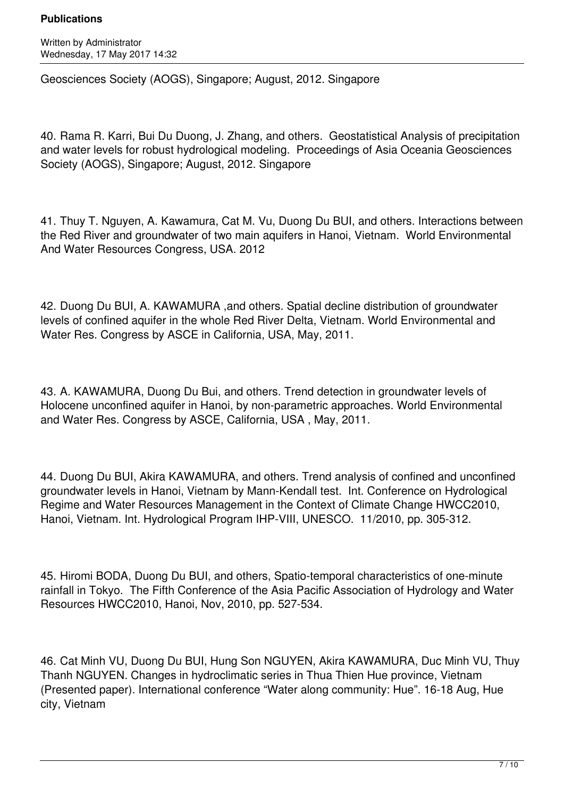Written by Administrator Wednesday, 17 May 2017 14:32

Geosciences Society (AOGS), Singapore; August, 2012. Singapore

40. Rama R. Karri, Bui Du Duong, J. Zhang, and others. Geostatistical Analysis of precipitation and water levels for robust hydrological modeling. Proceedings of Asia Oceania Geosciences Society (AOGS), Singapore; August, 2012. Singapore

41. Thuy T. Nguyen, A. Kawamura, Cat M. Vu, Duong Du BUI, and others. Interactions between the Red River and groundwater of two main aquifers in Hanoi, Vietnam. World Environmental And Water Resources Congress, USA. 2012

42. Duong Du BUI, A. KAWAMURA ,and others. Spatial decline distribution of groundwater levels of confined aquifer in the whole Red River Delta, Vietnam. World Environmental and Water Res. Congress by ASCE in California, USA, May, 2011.

43. A. KAWAMURA, Duong Du Bui, and others. Trend detection in groundwater levels of Holocene unconfined aquifer in Hanoi, by non-parametric approaches. World Environmental and Water Res. Congress by ASCE, California, USA , May, 2011.

44. Duong Du BUI, Akira KAWAMURA, and others. Trend analysis of confined and unconfined groundwater levels in Hanoi, Vietnam by Mann-Kendall test. Int. Conference on Hydrological Regime and Water Resources Management in the Context of Climate Change HWCC2010, Hanoi, Vietnam. Int. Hydrological Program IHP-VIII, UNESCO. 11/2010, pp. 305-312.

45. Hiromi BODA, Duong Du BUI, and others, Spatio-temporal characteristics of one-minute rainfall in Tokyo. The Fifth Conference of the Asia Pacific Association of Hydrology and Water Resources HWCC2010, Hanoi, Nov, 2010, pp. 527-534.

46. Cat Minh VU, Duong Du BUI, Hung Son NGUYEN, Akira KAWAMURA, Duc Minh VU, Thuy Thanh NGUYEN. Changes in hydroclimatic series in Thua Thien Hue province, Vietnam (Presented paper). International conference "Water along community: Hue". 16-18 Aug, Hue city, Vietnam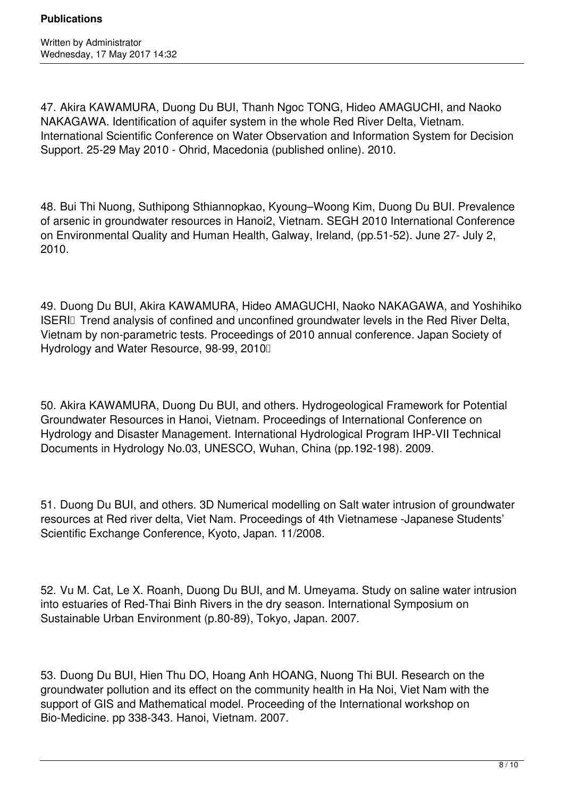47. Akira KAWAMURA, Duong Du BUI, Thanh Ngoc TONG, Hideo AMAGUCHI, and Naoko NAKAGAWA. Identification of aquifer system in the whole Red River Delta, Vietnam. International Scientific Conference on Water Observation and Information System for Decision Support. 25-29 May 2010 - Ohrid, Macedonia (published online). 2010.

48. Bui Thi Nuong, Suthipong Sthiannopkao, Kyoung–Woong Kim, Duong Du BUI. Prevalence of arsenic in groundwater resources in Hanoi2, Vietnam. SEGH 2010 International Conference on Environmental Quality and Human Health, Galway, Ireland, (pp.51-52). June 27- July 2, 2010.

49. Duong Du BUI, Akira KAWAMURA, Hideo AMAGUCHI, Naoko NAKAGAWA, and Yoshihiko ISERIII Trend analysis of confined and unconfined groundwater levels in the Red River Delta, Vietnam by non-parametric tests. Proceedings of 2010 annual conference. Japan Society of Hydrology and Water Resource, 98-99, 2010

50. Akira KAWAMURA, Duong Du BUI, and others. Hydrogeological Framework for Potential Groundwater Resources in Hanoi, Vietnam. Proceedings of International Conference on Hydrology and Disaster Management. International Hydrological Program IHP-VII Technical Documents in Hydrology No.03, UNESCO, Wuhan, China (pp.192-198). 2009.

51. Duong Du BUI, and others. 3D Numerical modelling on Salt water intrusion of groundwater resources at Red river delta, Viet Nam. Proceedings of 4th Vietnamese -Japanese Students' Scientific Exchange Conference, Kyoto, Japan. 11/2008.

52. Vu M. Cat, Le X. Roanh, Duong Du BUI, and M. Umeyama. Study on saline water intrusion into estuaries of Red-Thai Binh Rivers in the dry season. International Symposium on Sustainable Urban Environment (p.80-89), Tokyo, Japan. 2007.

53. Duong Du BUI, Hien Thu DO, Hoang Anh HOANG, Nuong Thi BUI. Research on the groundwater pollution and its effect on the community health in Ha Noi, Viet Nam with the support of GIS and Mathematical model. Proceeding of the International workshop on Bio-Medicine. pp 338-343. Hanoi, Vietnam. 2007.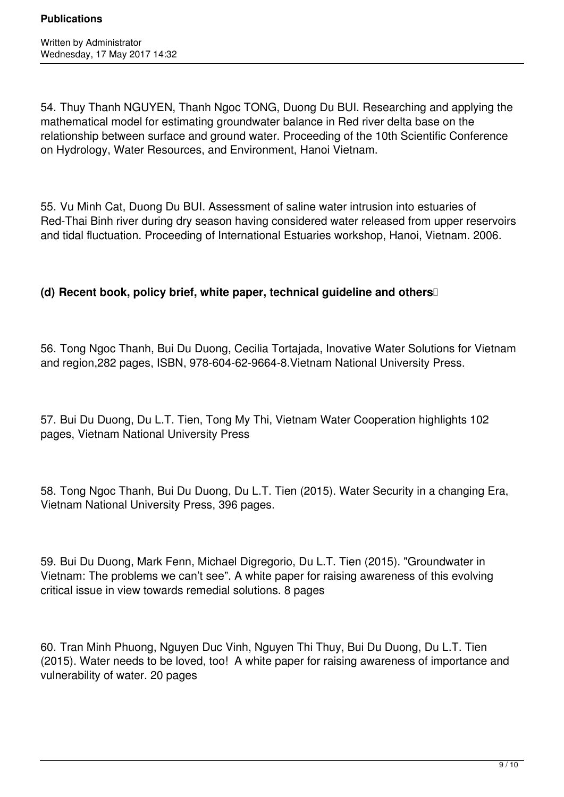54. Thuy Thanh NGUYEN, Thanh Ngoc TONG, Duong Du BUI. Researching and applying the mathematical model for estimating groundwater balance in Red river delta base on the relationship between surface and ground water. Proceeding of the 10th Scientific Conference on Hydrology, Water Resources, and Environment, Hanoi Vietnam.

55. Vu Minh Cat, Duong Du BUI. Assessment of saline water intrusion into estuaries of Red-Thai Binh river during dry season having considered water released from upper reservoirs and tidal fluctuation. Proceeding of International Estuaries workshop, Hanoi, Vietnam. 2006.

# **(d)** Recent book, policy brief, white paper, technical guideline and others **s**

56. Tong Ngoc Thanh, Bui Du Duong, Cecilia Tortajada, Inovative Water Solutions for Vietnam and region,282 pages, ISBN, 978-604-62-9664-8.Vietnam National University Press.

57. Bui Du Duong, Du L.T. Tien, Tong My Thi, Vietnam Water Cooperation highlights 102 pages, Vietnam National University Press

58. Tong Ngoc Thanh, Bui Du Duong, Du L.T. Tien (2015). Water Security in a changing Era, Vietnam National University Press, 396 pages.

59. Bui Du Duong, Mark Fenn, Michael Digregorio, Du L.T. Tien (2015). "Groundwater in Vietnam: The problems we can't see". A white paper for raising awareness of this evolving critical issue in view towards remedial solutions. 8 pages

60. Tran Minh Phuong, Nguyen Duc Vinh, Nguyen Thi Thuy, Bui Du Duong, Du L.T. Tien (2015). Water needs to be loved, too! A white paper for raising awareness of importance and vulnerability of water. 20 pages